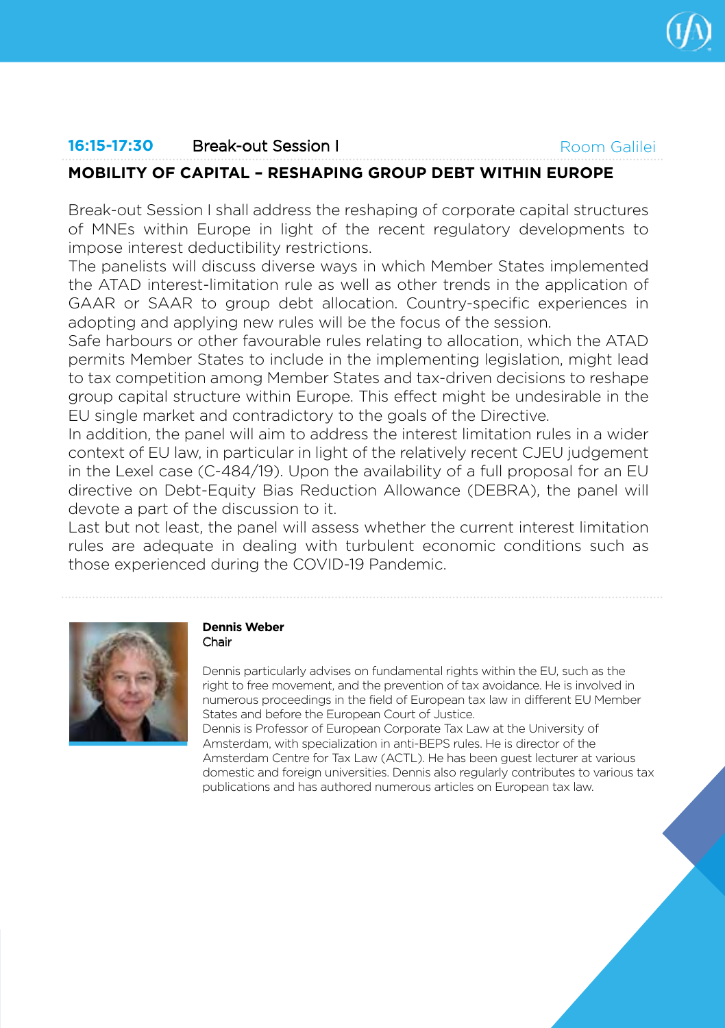

Room Galilei

# **16:15-17:30** Break-out Session I

# **MOBILITY OF CAPITAL – RESHAPING GROUP DEBT WITHIN EUROPE**

Break-out Session I shall address the reshaping of corporate capital structures of MNEs within Europe in light of the recent regulatory developments to impose interest deductibility restrictions.

The panelists will discuss diverse ways in which Member States implemented the ATAD interest-limitation rule as well as other trends in the application of GAAR or SAAR to group debt allocation. Country-specific experiences in adopting and applying new rules will be the focus of the session.

Safe harbours or other favourable rules relating to allocation, which the ATAD permits Member States to include in the implementing legislation, might lead to tax competition among Member States and tax-driven decisions to reshape group capital structure within Europe. This effect might be undesirable in the EU single market and contradictory to the goals of the Directive.

In addition, the panel will aim to address the interest limitation rules in a wider context of EU law, in particular in light of the relatively recent CJEU judgement in the Lexel case (C-484/19). Upon the availability of a full proposal for an EU directive on Debt-Equity Bias Reduction Allowance (DEBRA), the panel will devote a part of the discussion to it.

Last but not least, the panel will assess whether the current interest limitation rules are adequate in dealing with turbulent economic conditions such as those experienced during the COVID-19 Pandemic.



### **Dennis Weber** Chair

Dennis particularly advises on fundamental rights within the EU, such as the right to free movement, and the prevention of tax avoidance. He is involved in numerous proceedings in the field of European tax law in different EU Member States and before the European Court of Justice.

Dennis is Professor of European Corporate Tax Law at the University of Amsterdam, with specialization in anti-BEPS rules. He is director of the Amsterdam Centre for Tax Law (ACTL). He has been guest lecturer at various domestic and foreign universities. Dennis also regularly contributes to various tax publications and has authored numerous articles on European tax law.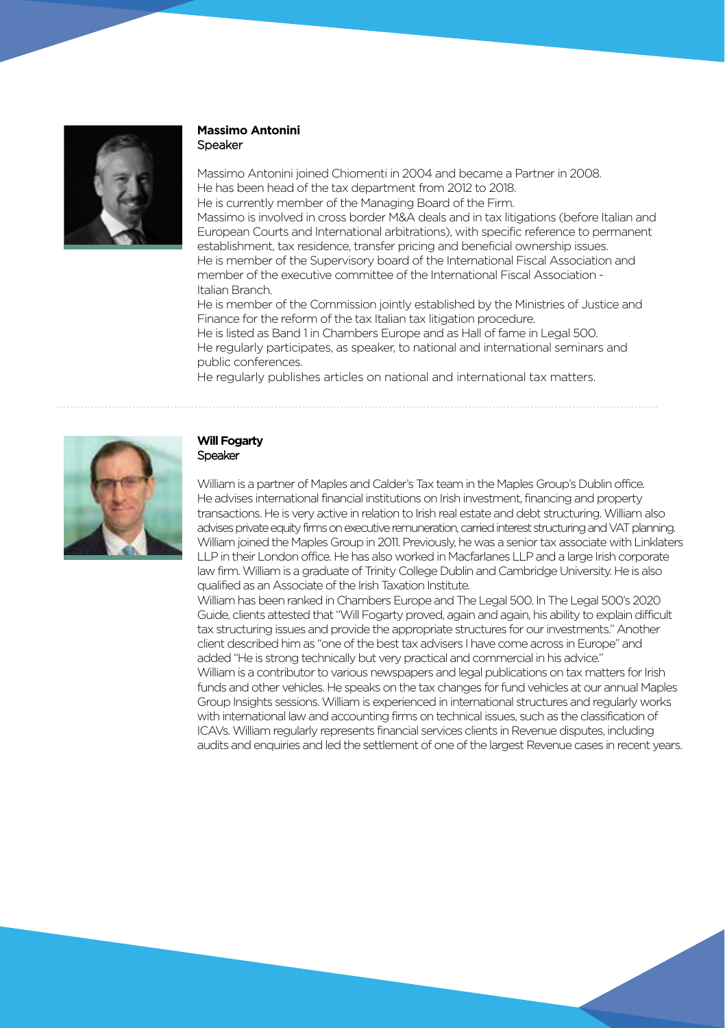

#### **Massimo Antonini**  Speaker

Massimo Antonini joined Chiomenti in 2004 and became a Partner in 2008. He has been head of the tax department from 2012 to 2018. He is currently member of the Managing Board of the Firm. Massimo is involved in cross border M&A deals and in tax litigations (before Italian and European Courts and International arbitrations), with specific reference to permanent establishment, tax residence, transfer pricing and beneficial ownership issues. He is member of the Supervisory board of the International Fiscal Association and member of the executive committee of the International Fiscal Association - Italian Branch. He is member of the Commission jointly established by the Ministries of Justice and

Finance for the reform of the tax Italian tax litigation procedure. He is listed as Band 1 in Chambers Europe and as Hall of fame in Legal 500. He regularly participates, as speaker, to national and international seminars and public conferences.

He regularly publishes articles on national and international tax matters.



#### **Will Fogarty Speaker**

William is a partner of Maples and Calder's Tax team in the Maples Group's Dublin office. He advises international financial institutions on Irish investment, financing and property transactions. He is very active in relation to Irish real estate and debt structuring. William also advises private equity firms on executive remuneration, carried interest structuring and VAT planning. William joined the Maples Group in 2011. Previously, he was a senior tax associate with Linklaters LLP in their London office. He has also worked in Macfarlanes LLP and a large Irish corporate law firm. William is a graduate of Trinity College Dublin and Cambridge University. He is also qualified as an Associate of the Irish Taxation Institute.

William has been ranked in Chambers Europe and The Legal 500. In The Legal 500's 2020 Guide, clients attested that "Will Fogarty proved, again and again, his ability to explain difficult tax structuring issues and provide the appropriate structures for our investments." Another client described him as "one of the best tax advisers I have come across in Europe" and added"He is strong technically but very practical and commercial in his advice." William is a contributor to various newspapers and legal publications on tax matters for Irish funds and other vehicles. He speaks on the tax changes for fund vehicles at our annual Maples Group Insights sessions. William is experienced in international structures and regularly works with international law and accounting firms on technical issues, such as the classification of ICAVs. William regularly represents financial services clients in Revenue disputes, including audits and enquiries and led the settlement of one of the largest Revenue cases in recent years.